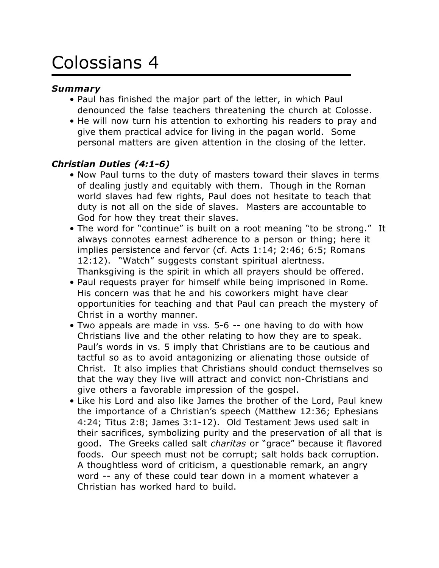# Colossians 4

#### *Summary*

- Paul has finished the major part of the letter, in which Paul denounced the false teachers threatening the church at Colosse.
- He will now turn his attention to exhorting his readers to pray and give them practical advice for living in the pagan world. Some personal matters are given attention in the closing of the letter.

## *Christian Duties (4:1-6)*

- Now Paul turns to the duty of masters toward their slaves in terms of dealing justly and equitably with them. Though in the Roman world slaves had few rights, Paul does not hesitate to teach that duty is not all on the side of slaves. Masters are accountable to God for how they treat their slaves.
- The word for "continue" is built on a root meaning "to be strong." It always connotes earnest adherence to a person or thing; here it implies persistence and fervor (cf. Acts 1:14; 2:46; 6:5; Romans 12:12). "Watch" suggests constant spiritual alertness. Thanksgiving is the spirit in which all prayers should be offered.
- Paul requests prayer for himself while being imprisoned in Rome. His concern was that he and his coworkers might have clear opportunities for teaching and that Paul can preach the mystery of Christ in a worthy manner.
- Two appeals are made in vss. 5-6 -- one having to do with how Christians live and the other relating to how they are to speak. Paul's words in vs. 5 imply that Christians are to be cautious and tactful so as to avoid antagonizing or alienating those outside of Christ. It also implies that Christians should conduct themselves so that the way they live will attract and convict non-Christians and give others a favorable impression of the gospel.
- Like his Lord and also like James the brother of the Lord, Paul knew the importance of a Christian's speech (Matthew 12:36; Ephesians 4:24; Titus 2:8; James 3:1-12). Old Testament Jews used salt in their sacrifices, symbolizing purity and the preservation of all that is good. The Greeks called salt *charitas* or "grace" because it flavored foods. Our speech must not be corrupt; salt holds back corruption. A thoughtless word of criticism, a questionable remark, an angry word -- any of these could tear down in a moment whatever a Christian has worked hard to build.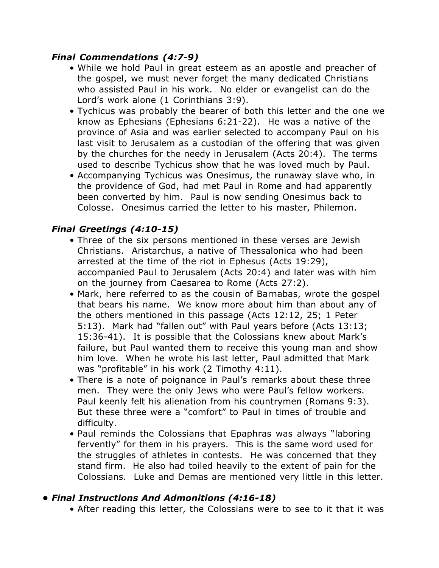#### *Final Commendations (4:7-9)*

- While we hold Paul in great esteem as an apostle and preacher of the gospel, we must never forget the many dedicated Christians who assisted Paul in his work. No elder or evangelist can do the Lord's work alone (1 Corinthians 3:9).
- Tychicus was probably the bearer of both this letter and the one we know as Ephesians (Ephesians 6:21-22). He was a native of the province of Asia and was earlier selected to accompany Paul on his last visit to Jerusalem as a custodian of the offering that was given by the churches for the needy in Jerusalem (Acts 20:4). The terms used to describe Tychicus show that he was loved much by Paul.
- Accompanying Tychicus was Onesimus, the runaway slave who, in the providence of God, had met Paul in Rome and had apparently been converted by him. Paul is now sending Onesimus back to Colosse. Onesimus carried the letter to his master, Philemon.

# *Final Greetings (4:10-15)*

- Three of the six persons mentioned in these verses are Jewish Christians. Aristarchus, a native of Thessalonica who had been arrested at the time of the riot in Ephesus (Acts 19:29), accompanied Paul to Jerusalem (Acts 20:4) and later was with him on the journey from Caesarea to Rome (Acts 27:2).
- Mark, here referred to as the cousin of Barnabas, wrote the gospel that bears his name. We know more about him than about any of the others mentioned in this passage (Acts 12:12, 25; 1 Peter 5:13). Mark had "fallen out" with Paul years before (Acts 13:13; 15:36-41). It is possible that the Colossians knew about Mark's failure, but Paul wanted them to receive this young man and show him love. When he wrote his last letter, Paul admitted that Mark was "profitable" in his work (2 Timothy 4:11).
- There is a note of poignance in Paul's remarks about these three men. They were the only Jews who were Paul's fellow workers. Paul keenly felt his alienation from his countrymen (Romans 9:3). But these three were a "comfort" to Paul in times of trouble and difficulty.
- Paul reminds the Colossians that Epaphras was always "laboring fervently" for them in his prayers. This is the same word used for the struggles of athletes in contests. He was concerned that they stand firm. He also had toiled heavily to the extent of pain for the Colossians. Luke and Demas are mentioned very little in this letter.

## *• Final Instructions And Admonitions (4:16-18)*

• After reading this letter, the Colossians were to see to it that it was